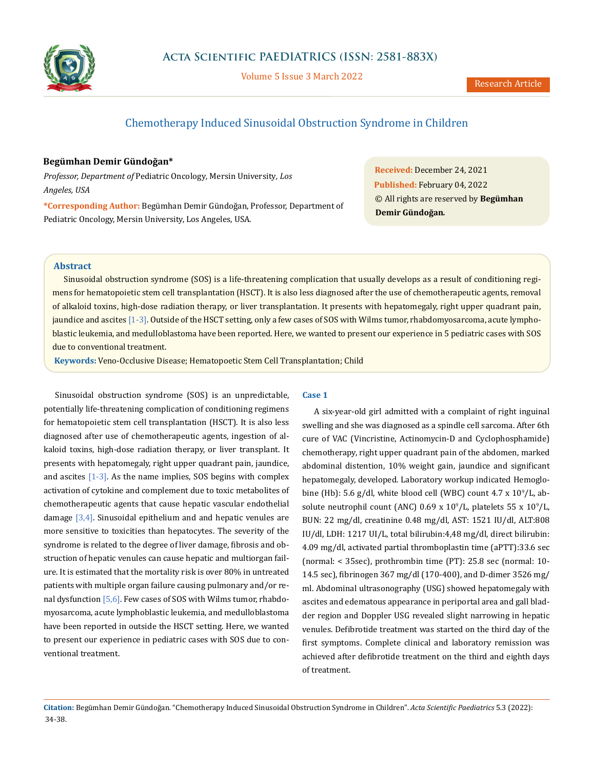

Volume 5 Issue 3 March 2022

# Chemotherapy Induced Sinusoidal Obstruction Syndrome in Children

# **Begümhan Demir Gündoğan\***

*Professor, Department of* Pediatric Oncology*,* Mersin University*, Los Angeles, USA*

**\*Corresponding Author:** Begümhan Demir Gündoğan, Professor, Department of Pediatric Oncology, Mersin University, Los Angeles, USA.

**Received:** December 24, 2021 **Published:** February 04, 2022 © All rights are reserved by **Begümhan Demir Gündoğan***.*

# **Abstract**

Sinusoidal obstruction syndrome (SOS) is a life-threatening complication that usually develops as a result of conditioning regimens for hematopoietic stem cell transplantation (HSCT). It is also less diagnosed after the use of chemotherapeutic agents, removal of alkaloid toxins, high-dose radiation therapy, or liver transplantation. It presents with hepatomegaly, right upper quadrant pain, jaundice and ascites [1-3]. Outside of the HSCT setting, only a few cases of SOS with Wilms tumor, rhabdomyosarcoma, acute lymphoblastic leukemia, and medulloblastoma have been reported. Here, we wanted to present our experience in 5 pediatric cases with SOS due to conventional treatment.

 **Keywords:** Veno-Occlusive Disease; Hematopoetic Stem Cell Transplantation; Child

Sinusoidal obstruction syndrome (SOS) is an unpredictable, potentially life-threatening complication of conditioning regimens for hematopoietic stem cell transplantation (HSCT). It is also less diagnosed after use of chemotherapeutic agents, ingestion of alkaloid toxins, high-dose radiation therapy, or liver transplant. It presents with hepatomegaly, right upper quadrant pain, jaundice, and ascites  $[1-3]$ . As the name implies, SOS begins with complex activation of cytokine and complement due to toxic metabolites of chemotherapeutic agents that cause hepatic vascular endothelial damage [3,4]. Sinusoidal epithelium and and hepatic venules are more sensitive to toxicities than hepatocytes. The severity of the syndrome is related to the degree of liver damage, fibrosis and obstruction of hepatic venules can cause hepatic and multiorgan failure. It is estimated that the mortality risk is over 80% in untreated patients with multiple organ failure causing pulmonary and/or renal dysfunction [5,6]. Few cases of SOS with Wilms tumor, rhabdomyosarcoma, acute lymphoblastic leukemia, and medulloblastoma have been reported in outside the HSCT setting. Here, we wanted to present our experience in pediatric cases with SOS due to conventional treatment.

# **Case 1**

A six-year-old girl admitted with a complaint of right inguinal swelling and she was diagnosed as a spindle cell sarcoma. After 6th cure of VAC (Vincristine, Actinomycin-D and Cyclophosphamide) chemotherapy, right upper quadrant pain of the abdomen, marked abdominal distention, 10% weight gain, jaundice and significant hepatomegaly, developed. Laboratory workup indicated Hemoglobine (Hb): 5.6 g/dl, white blood cell (WBC) count  $4.7 \times 10^9$ /L, absolute neutrophil count (ANC)  $0.69 \times 10^9$ /L, platelets 55 x  $10^9$ /L, BUN: 22 mg/dl, creatinine 0.48 mg/dl, AST: 1521 IU/dl, ALT:808 IU/dl, LDH: 1217 UI/L, total bilirubin:4,48 mg/dl, direct bilirubin: 4.09 mg/dl, activated partial thromboplastin time (aPTT):33.6 sec (normal: < 35sec), prothrombin time (PT): 25.8 sec (normal: 10- 14.5 sec), fibrinogen 367 mg/dl (170-400), and D-dimer 3526 mg/ ml. Abdominal ultrasonography (USG) showed hepatomegaly with ascites and edematous appearance in periportal area and gall bladder region and Doppler USG revealed slight narrowing in hepatic venules. Defibrotide treatment was started on the third day of the first symptoms. Complete clinical and laboratory remission was achieved after defibrotide treatment on the third and eighth days of treatment.

**Citation:** Begümhan Demir Gündoğan*.* "Chemotherapy Induced Sinusoidal Obstruction Syndrome in Children". *Acta Scientific Paediatrics* 5.3 (2022): 34-38.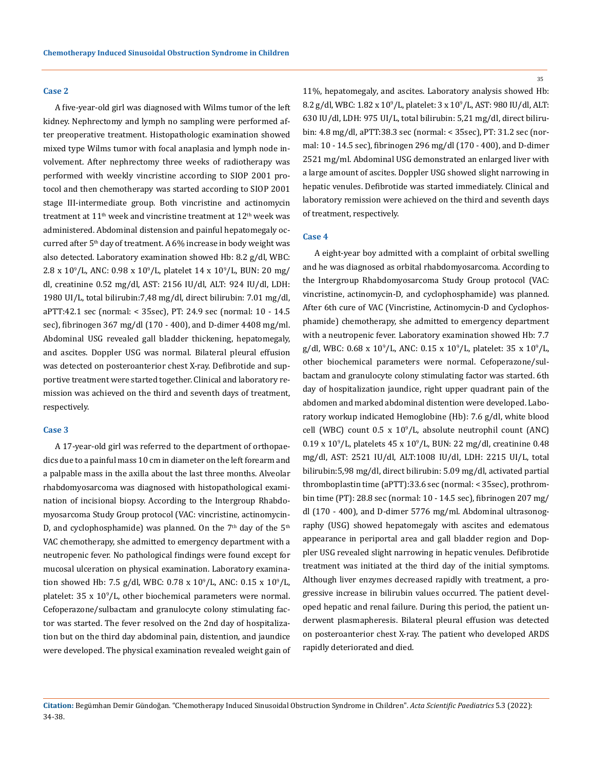#### **Case 2**

A five-year-old girl was diagnosed with Wilms tumor of the left kidney. Nephrectomy and lymph no sampling were performed after preoperative treatment. Histopathologic examination showed mixed type Wilms tumor with focal anaplasia and lymph node involvement. After nephrectomy three weeks of radiotherapy was performed with weekly vincristine according to SIOP 2001 protocol and then chemotherapy was started according to SIOP 2001 stage III-intermediate group. Both vincristine and actinomycin treatment at  $11<sup>th</sup>$  week and vincristine treatment at  $12<sup>th</sup>$  week was administered. Abdominal distension and painful hepatomegaly occurred after  $5<sup>th</sup>$  day of treatment. A 6% increase in body weight was also detected. Laboratory examination showed Hb: 8.2 g/dl, WBC:  $2.8 \times 10^9$ /L, ANC: 0.98 x 10<sup>9</sup>/L, platelet 14 x 10<sup>9</sup>/L, BUN: 20 mg/ dl, creatinine 0.52 mg/dl, AST: 2156 IU/dl, ALT: 924 IU/dl, LDH: 1980 UI/L, total bilirubin:7,48 mg/dl, direct bilirubin: 7.01 mg/dl, aPTT:42.1 sec (normal: < 35sec), PT: 24.9 sec (normal: 10 - 14.5 sec), fibrinogen 367 mg/dl (170 - 400), and D-dimer 4408 mg/ml. Abdominal USG revealed gall bladder thickening, hepatomegaly, and ascites. Doppler USG was normal. Bilateral pleural effusion was detected on posteroanterior chest X-ray. Defibrotide and supportive treatment were started together. Clinical and laboratory remission was achieved on the third and seventh days of treatment, respectively.

#### **Case 3**

A 17-year-old girl was referred to the department of orthopaedics due to a painful mass 10 cm in diameter on the left forearm and a palpable mass in the axilla about the last three months. Alveolar rhabdomyosarcoma was diagnosed with histopathological examination of incisional biopsy. According to the Intergroup Rhabdomyosarcoma Study Group protocol (VAC: vincristine, actinomycin-D, and cyclophosphamide) was planned. On the  $7<sup>th</sup>$  day of the  $5<sup>th</sup>$ VAC chemotherapy, she admitted to emergency department with a neutropenic fever. No pathological findings were found except for mucosal ulceration on physical examination. Laboratory examination showed Hb: 7.5 g/dl, WBC:  $0.78 \times 10^9$ /L, ANC:  $0.15 \times 10^9$ /L, platelet:  $35 \times 10^9$ /L, other biochemical parameters were normal. Cefoperazone/sulbactam and granulocyte colony stimulating factor was started. The fever resolved on the 2nd day of hospitalization but on the third day abdominal pain, distention, and jaundice were developed. The physical examination revealed weight gain of

35

11%, hepatomegaly, and ascites. Laboratory analysis showed Hb: 8.2 g/dl, WBC: 1.82 x 10<sup>9</sup> /L, platelet: 3 x 10<sup>9</sup> /L, AST: 980 IU/dl, ALT: 630 IU/dl, LDH: 975 UI/L, total bilirubin: 5,21 mg/dl, direct bilirubin: 4.8 mg/dl, aPTT:38.3 sec (normal: < 35sec), PT: 31.2 sec (normal: 10 - 14.5 sec), fibrinogen 296 mg/dl (170 - 400), and D-dimer 2521 mg/ml. Abdominal USG demonstrated an enlarged liver with a large amount of ascites. Doppler USG showed slight narrowing in hepatic venules. Defibrotide was started immediately. Clinical and laboratory remission were achieved on the third and seventh days of treatment, respectively.

### **Case 4**

A eight-year boy admitted with a complaint of orbital swelling and he was diagnosed as orbital rhabdomyosarcoma. According to the Intergroup Rhabdomyosarcoma Study Group protocol (VAC: vincristine, actinomycin-D, and cyclophosphamide) was planned. After 6th cure of VAC (Vincristine, Actinomycin-D and Cyclophosphamide) chemotherapy, she admitted to emergency department with a neutropenic fever. Laboratory examination showed Hb: 7.7 g/dl, WBC:  $0.68 \times 10^9$ /L, ANC:  $0.15 \times 10^9$ /L, platelet: 35 x  $10^9$ /L, other biochemical parameters were normal. Cefoperazone/sulbactam and granulocyte colony stimulating factor was started. 6th day of hospitalization jaundice, right upper quadrant pain of the abdomen and marked abdominal distention were developed. Laboratory workup indicated Hemoglobine (Hb): 7.6 g/dl, white blood  $cell (WBC)$  count  $0.5 \times 10^9/L$ , absolute neutrophil count (ANC)  $0.19 \times 10^9$ /L, platelets  $45 \times 10^9$ /L, BUN: 22 mg/dl, creatinine 0.48 mg/dl, AST: 2521 IU/dl, ALT:1008 IU/dl, LDH: 2215 UI/L, total bilirubin:5,98 mg/dl, direct bilirubin: 5.09 mg/dl, activated partial thromboplastin time (aPTT):33.6 sec (normal: < 35sec), prothrombin time (PT): 28.8 sec (normal: 10 - 14.5 sec), fibrinogen 207 mg/ dl (170 - 400), and D-dimer 5776 mg/ml. Abdominal ultrasonography (USG) showed hepatomegaly with ascites and edematous appearance in periportal area and gall bladder region and Doppler USG revealed slight narrowing in hepatic venules. Defibrotide treatment was initiated at the third day of the initial symptoms. Although liver enzymes decreased rapidly with treatment, a progressive increase in bilirubin values occurred. The patient developed hepatic and renal failure. During this period, the patient underwent plasmapheresis. Bilateral pleural effusion was detected on posteroanterior chest X-ray. The patient who developed ARDS rapidly deteriorated and died.

**Citation:** Begümhan Demir Gündoğan*.* "Chemotherapy Induced Sinusoidal Obstruction Syndrome in Children". *Acta Scientific Paediatrics* 5.3 (2022): 34-38.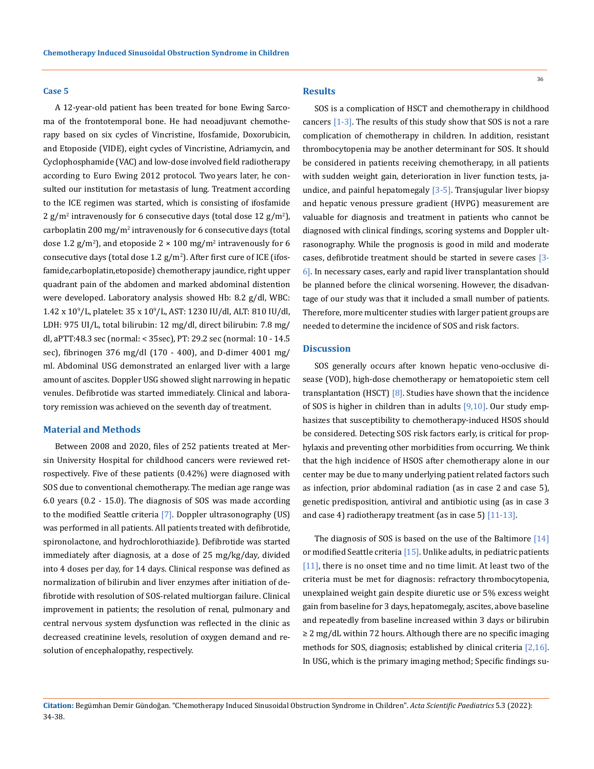#### **Case 5**

A 12-year-old patient has been treated for bone Ewing Sarcoma of the frontotemporal bone. He had neoadjuvant chemotherapy based on six cycles of Vincristine, Ifosfamide, Doxorubicin, and Etoposide (VIDE), eight cycles of Vincristine, Adriamycin, and Cyclophosphamide (VAC) and low-dose involved field radiotherapy according to Euro Ewing 2012 protocol. Two years later, he consulted our institution for metastasis of lung. Treatment according to the ICE regimen was started, which is consisting of ifosfamide 2 g/m<sup>2</sup> intravenously for 6 consecutive days (total dose  $12 \text{ g/m}^2$ ), carboplatin 200 mg/ $m^2$  intravenously for 6 consecutive days (total dose 1.2  $\rm g/m^2$ ), and etoposide 2  $\times$  100 mg/m<sup>2</sup> intravenously for 6 consecutive days (total dose  $1.2 \text{ g/m}^2$ ). After first cure of ICE (ifosfamide,carboplatin,etoposide) chemotherapy jaundice, right upper quadrant pain of the abdomen and marked abdominal distention were developed. Laboratory analysis showed Hb: 8.2 g/dl, WBC:  $1.42 \times 10^9$ /L, platelet:  $35 \times 10^9$ /L, AST:  $1230 \text{ IU}/\text{dl}$ , ALT:  $810 \text{ IU}/\text{dl}$ , LDH: 975 UI/L, total bilirubin: 12 mg/dl, direct bilirubin: 7.8 mg/ dl, aPTT:48.3 sec (normal: < 35sec), PT: 29.2 sec (normal: 10 - 14.5 sec), fibrinogen 376 mg/dl (170 - 400), and D-dimer 4001 mg/ ml. Abdominal USG demonstrated an enlarged liver with a large amount of ascites. Doppler USG showed slight narrowing in hepatic venules. Defibrotide was started immediately. Clinical and laboratory remission was achieved on the seventh day of treatment.

#### **Material and Methods**

Between 2008 and 2020, files of 252 patients treated at Mersin University Hospital for childhood cancers were reviewed retrospectively. Five of these patients (0.42%) were diagnosed with SOS due to conventional chemotherapy. The median age range was 6.0 years (0.2 - 15.0). The diagnosis of SOS was made according to the modified Seattle criteria [7]. Doppler ultrasonography (US) was performed in all patients. All patients treated with defibrotide, spironolactone, and hydrochlorothiazide). Defibrotide was started immediately after diagnosis, at a dose of 25 mg/kg/day, divided into 4 doses per day, for 14 days. Clinical response was defined as normalization of bilirubin and liver enzymes after initiation of defibrotide with resolution of SOS-related multiorgan failure. Clinical improvement in patients; the resolution of renal, pulmonary and central nervous system dysfunction was reflected in the clinic as decreased creatinine levels, resolution of oxygen demand and resolution of encephalopathy, respectively.

# **Results**

SOS is a complication of HSCT and chemotherapy in childhood cancers [1-3]. The results of this study show that SOS is not a rare complication of chemotherapy in children. In addition, resistant thrombocytopenia may be another determinant for SOS. It should be considered in patients receiving chemotherapy, in all patients with sudden weight gain, deterioration in liver function tests, jaundice, and painful hepatomegaly [3-5]. Transjugular liver biopsy and hepatic venous pressure gradient (HVPG) measurement are valuable for diagnosis and treatment in patients who cannot be diagnosed with clinical findings, scoring systems and Doppler ultrasonography. While the prognosis is good in mild and moderate cases, defibrotide treatment should be started in severe cases [3- 6]. In necessary cases, early and rapid liver transplantation should be planned before the clinical worsening. However, the disadvantage of our study was that it included a small number of patients. Therefore, more multicenter studies with larger patient groups are needed to determine the incidence of SOS and risk factors.

## **Discussion**

SOS generally occurs after known hepatic veno-occlusive disease (VOD), high-dose chemotherapy or hematopoietic stem cell transplantation (HSCT)  $[8]$ . Studies have shown that the incidence of SOS is higher in children than in adults [9,10]. Our study emphasizes that susceptibility to chemotherapy-induced HSOS should be considered. Detecting SOS risk factors early, is critical for prophylaxis and preventing other morbidities from occurring. We think that the high incidence of HSOS after chemotherapy alone in our center may be due to many underlying patient related factors such as infection, prior abdominal radiation (as in case 2 and case 5), genetic predisposition, antiviral and antibiotic using (as in case 3 and case 4) radiotherapy treatment (as in case 5)  $[11-13]$ .

The diagnosis of SOS is based on the use of the Baltimore [14] or modified Seattle criteria [15]. Unlike adults, in pediatric patients [11], there is no onset time and no time limit. At least two of the criteria must be met for diagnosis: refractory thrombocytopenia, unexplained weight gain despite diuretic use or 5% excess weight gain from baseline for 3 days, hepatomegaly, ascites, above baseline and repeatedly from baseline increased within 3 days or bilirubin ≥ 2 mg/dL within 72 hours. Although there are no specific imaging methods for SOS, diagnosis; established by clinical criteria [2,16]. In USG, which is the primary imaging method; Specific findings su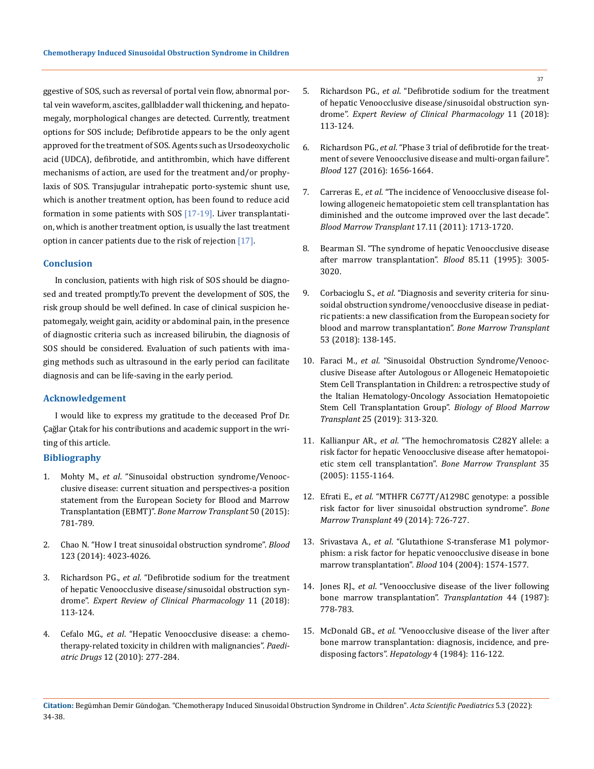ggestive of SOS, such as reversal of portal vein flow, abnormal portal vein waveform, ascites, gallbladder wall thickening, and hepatomegaly, morphological changes are detected. Currently, treatment options for SOS include; Defibrotide appears to be the only agent approved for the treatment of SOS. Agents such as Ursodeoxycholic acid (UDCA), defibrotide, and antithrombin, which have different mechanisms of action, are used for the treatment and/or prophylaxis of SOS. Transjugular intrahepatic porto-systemic shunt use, which is another treatment option, has been found to reduce acid formation in some patients with SOS [17-19]. Liver transplantation, which is another treatment option, is usually the last treatment option in cancer patients due to the risk of rejection  $[17]$ .

# **Conclusion**

In conclusion, patients with high risk of SOS should be diagnosed and treated promptly.To prevent the development of SOS, the risk group should be well defined. In case of clinical suspicion hepatomegaly, weight gain, acidity or abdominal pain, in the presence of diagnostic criteria such as increased bilirubin, the diagnosis of SOS should be considered. Evaluation of such patients with imaging methods such as ultrasound in the early period can facilitate diagnosis and can be life-saving in the early period.

### **Acknowledgement**

I would like to express my gratitude to the deceased Prof Dr. Çağlar Çıtak for his contributions and academic support in the writing of this article.

## **Bibliography**

- 1. Mohty M., *et al*[. "Sinusoidal obstruction syndrome/Venooc](https://pubmed.ncbi.nlm.nih.gov/25798682/)[clusive disease: current situation and perspectives-a position](https://pubmed.ncbi.nlm.nih.gov/25798682/) [statement from the European Society for Blood and Marrow](https://pubmed.ncbi.nlm.nih.gov/25798682/) Transplantation (EBMT)". *[Bone Marrow Transplant](https://pubmed.ncbi.nlm.nih.gov/25798682/)* 50 (2015): [781-789.](https://pubmed.ncbi.nlm.nih.gov/25798682/)
- 2. [Chao N. "How I treat sinusoidal obstruction syndrome".](https://pubmed.ncbi.nlm.nih.gov/24833355/) *Blood*  [123 \(2014\): 4023-4026.](https://pubmed.ncbi.nlm.nih.gov/24833355/)
- 3. Richardson PG., *et al*[. "Defibrotide sodium for the treatment](https://pubmed.ncbi.nlm.nih.gov/29301447/) [of hepatic Venoocclusive disease/sinusoidal obstruction syn](https://pubmed.ncbi.nlm.nih.gov/29301447/)drome". *[Expert Review of Clinical Pharmacology](https://pubmed.ncbi.nlm.nih.gov/29301447/)* 11 (2018): [113-124.](https://pubmed.ncbi.nlm.nih.gov/29301447/)
- 4. Cefalo MG., *et al*[. "Hepatic Venoocclusive disease: a chemo](https://pubmed.ncbi.nlm.nih.gov/20799757/)[therapy-related toxicity in children with malignancies".](https://pubmed.ncbi.nlm.nih.gov/20799757/) *Paediatric Drugs* [12 \(2010\): 277-284.](https://pubmed.ncbi.nlm.nih.gov/20799757/)
- 5. Richardson PG., *et al*[. "Defibrotide sodium for the treatment](https://pubmed.ncbi.nlm.nih.gov/29301447/)  [of hepatic Venoocclusive disease/sinusoidal obstruction syn](https://pubmed.ncbi.nlm.nih.gov/29301447/)drome". *[Expert Review of Clinical Pharmacology](https://pubmed.ncbi.nlm.nih.gov/29301447/)* 11 (2018): [113-124.](https://pubmed.ncbi.nlm.nih.gov/29301447/)
- 6. Richardson PG., *et al*[. "Phase 3 trial of defibrotide for the treat](https://pubmed.ncbi.nlm.nih.gov/26825712/)[ment of severe Venoocclusive disease and multi-organ failure".](https://pubmed.ncbi.nlm.nih.gov/26825712/) *Blood* [127 \(2016\): 1656-1664.](https://pubmed.ncbi.nlm.nih.gov/26825712/)
- 7. Carreras E., *et al*[. "The incidence of Venoocclusive disease fol](https://pubmed.ncbi.nlm.nih.gov/21708110/)[lowing allogeneic hematopoietic stem cell transplantation has](https://pubmed.ncbi.nlm.nih.gov/21708110/)  [diminished and the outcome improved over the last decade".](https://pubmed.ncbi.nlm.nih.gov/21708110/)  *[Blood Marrow Transplant](https://pubmed.ncbi.nlm.nih.gov/21708110/)* 17.11 (2011): 1713-1720.
- 8. [Bearman SI. "The syndrome of hepatic Venoocclusive disease](https://pubmed.ncbi.nlm.nih.gov/7756636/)  [after marrow transplantation".](https://pubmed.ncbi.nlm.nih.gov/7756636/) *Blood* 85.11 (1995): 3005- [3020.](https://pubmed.ncbi.nlm.nih.gov/7756636/)
- 9. Corbacioglu S., *et al*[. "Diagnosis and severity criteria for sinu](https://pubmed.ncbi.nlm.nih.gov/28759025/)[soidal obstruction syndrome/venoocclusive disease in pediat](https://pubmed.ncbi.nlm.nih.gov/28759025/)[ric patients: a new classification from the European society for](https://pubmed.ncbi.nlm.nih.gov/28759025/)  [blood and marrow transplantation".](https://pubmed.ncbi.nlm.nih.gov/28759025/) *Bone Marrow Transplant* [53 \(2018\): 138-145.](https://pubmed.ncbi.nlm.nih.gov/28759025/)
- 10. Faraci M., *et al*[. "Sinusoidal Obstruction Syndrome/Venooc](https://pubmed.ncbi.nlm.nih.gov/30266674/)[clusive Disease after Autologous or Allogeneic Hematopoietic](https://pubmed.ncbi.nlm.nih.gov/30266674/)  [Stem Cell Transplantation in Children: a retrospective study of](https://pubmed.ncbi.nlm.nih.gov/30266674/)  [the Italian Hematology-Oncology Association Hematopoietic](https://pubmed.ncbi.nlm.nih.gov/30266674/)  [Stem Cell Transplantation Group".](https://pubmed.ncbi.nlm.nih.gov/30266674/) *Biology of Blood Marrow Transplant* [25 \(2019\): 313-320.](https://pubmed.ncbi.nlm.nih.gov/30266674/)
- 11. Kallianpur AR., *et al*[. "The hemochromatosis C282Y allele: a](https://pubmed.ncbi.nlm.nih.gov/15834437/)  [risk factor for hepatic Venoocclusive disease after hematopoi](https://pubmed.ncbi.nlm.nih.gov/15834437/)[etic stem cell transplantation".](https://pubmed.ncbi.nlm.nih.gov/15834437/) *Bone Marrow Transplant* 35 [\(2005\): 1155-1164.](https://pubmed.ncbi.nlm.nih.gov/15834437/)
- 12. Efrati E., *et al*[. "MTHFR C677T/A1298C genotype: a possible](https://www.nature.com/articles/bmt201416)  [risk factor for liver sinusoidal obstruction syndrome".](https://www.nature.com/articles/bmt201416) *Bone [Marrow Transplant](https://www.nature.com/articles/bmt201416)* 49 (2014): 726-727.
- 13. Srivastava A., *et al*[. "Glutathione S-transferase M1 polymor](https://pubmed.ncbi.nlm.nih.gov/15142875/)[phism: a risk factor for hepatic venoocclusive disease in bone](https://pubmed.ncbi.nlm.nih.gov/15142875/)  [marrow transplantation".](https://pubmed.ncbi.nlm.nih.gov/15142875/) *Blood* 104 (2004): 1574-1577.
- 14. Jones RJ., *et al*[. "Venoocclusive disease of the liver following](https://pubmed.ncbi.nlm.nih.gov/3321587/)  [bone marrow transplantation".](https://pubmed.ncbi.nlm.nih.gov/3321587/) *Transplantation* 44 (1987): [778-783.](https://pubmed.ncbi.nlm.nih.gov/3321587/)
- 15. McDonald GB., *et al*[. "Venoocclusive disease of the liver after](https://pubmed.ncbi.nlm.nih.gov/6363247/)  [bone marrow transplantation: diagnosis, incidence, and pre](https://pubmed.ncbi.nlm.nih.gov/6363247/)disposing factors". *Hepatology* [4 \(1984\): 116-122.](https://pubmed.ncbi.nlm.nih.gov/6363247/)
- **Citation:** Begümhan Demir Gündoğan*.* "Chemotherapy Induced Sinusoidal Obstruction Syndrome in Children". *Acta Scientific Paediatrics* 5.3 (2022): 34-38.